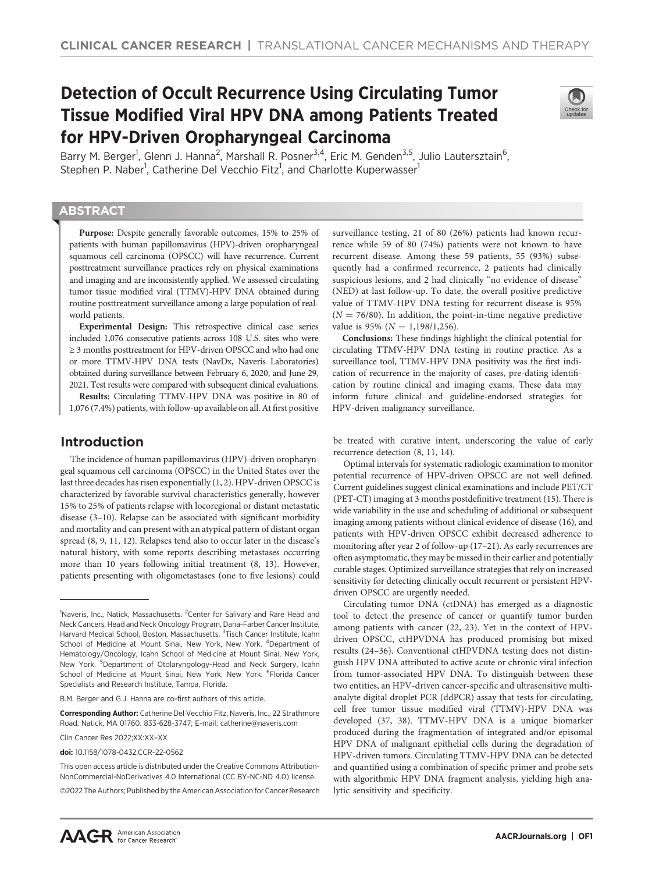# Detection of Occult Recurrence Using Circulating Tumor Tissue Modified Viral HPV DNA among Patients Treated for HPV-Driven Oropharyngeal Carcinoma



Barry M. Berger<sup>1</sup>, Glenn J. Hanna<sup>2</sup>, Marshall R. Posner<sup>3,4</sup>, Eric M. Genden<sup>3,5</sup>, Julio Lautersztain<sup>6</sup>, Stephen P. Naber<sup>1</sup>, Catherine Del Vecchio Fitz<sup>1</sup>, and Charlotte Kuperwasser<sup>1</sup>

# **ABSTRACT**

◥

Purpose: Despite generally favorable outcomes, 15% to 25% of patients with human papillomavirus (HPV)-driven oropharyngeal squamous cell carcinoma (OPSCC) will have recurrence. Current posttreatment surveillance practices rely on physical examinations and imaging and are inconsistently applied. We assessed circulating tumor tissue modified viral (TTMV)-HPV DNA obtained during routine posttreatment surveillance among a large population of realworld patients.

Experimental Design: This retrospective clinical case series included 1,076 consecutive patients across 108 U.S. sites who were ≥ 3 months posttreatment for HPV-driven OPSCC and who had one or more TTMV-HPV DNA tests (NavDx, Naveris Laboratories) obtained during surveillance between February 6, 2020, and June 29, 2021. Test results were compared with subsequent clinical evaluations.

Results: Circulating TTMV-HPV DNA was positive in 80 of 1,076 (7.4%) patients, with follow-up available on all. At first positive

# Introduction

The incidence of human papillomavirus (HPV)-driven oropharyngeal squamous cell carcinoma (OPSCC) in the United States over the last three decades has risen exponentially (1, 2). HPV-driven OPSCC is characterized by favorable survival characteristics generally, however 15% to 25% of patients relapse with locoregional or distant metastatic disease (3–10). Relapse can be associated with significant morbidity and mortality and can present with an atypical pattern of distant organ spread (8, 9, 11, 12). Relapses tend also to occur later in the disease's natural history, with some reports describing metastases occurring more than 10 years following initial treatment (8, 13). However, patients presenting with oligometastases (one to five lesions) could

Corresponding Author: Catherine Del Vecchio Fitz, Naveris, Inc., 22 Strathmore Road, Natick, MA 01760. 833-628-3747; E-mail: catherine@naveris.com

Clin Cancer Res 2022;XX:XX–XX

doi: 10.1158/1078-0432.CCR-22-0562

This open access article is distributed under the Creative Commons Attribution-NonCommercial-NoDerivatives 4.0 International (CC BY-NC-ND 4.0) license.

2022 The Authors; Published by the American Association for Cancer Research

surveillance testing, 21 of 80 (26%) patients had known recurrence while 59 of 80 (74%) patients were not known to have recurrent disease. Among these 59 patients, 55 (93%) subsequently had a confirmed recurrence, 2 patients had clinically suspicious lesions, and 2 had clinically "no evidence of disease" (NED) at last follow-up. To date, the overall positive predictive value of TTMV-HPV DNA testing for recurrent disease is 95%  $(N = 76/80)$ . In addition, the point-in-time negative predictive value is 95% ( $N = 1,198/1,256$ ).

Conclusions: These findings highlight the clinical potential for circulating TTMV-HPV DNA testing in routine practice. As a surveillance tool, TTMV-HPV DNA positivity was the first indication of recurrence in the majority of cases, pre-dating identification by routine clinical and imaging exams. These data may inform future clinical and guideline-endorsed strategies for HPV-driven malignancy surveillance.

be treated with curative intent, underscoring the value of early recurrence detection (8, 11, 14).

Optimal intervals for systematic radiologic examination to monitor potential recurrence of HPV-driven OPSCC are not well defined. Current guidelines suggest clinical examinations and include PET/CT (PET-CT) imaging at 3 months postdefinitive treatment (15). There is wide variability in the use and scheduling of additional or subsequent imaging among patients without clinical evidence of disease (16), and patients with HPV-driven OPSCC exhibit decreased adherence to monitoring after year 2 of follow-up (17–21). As early recurrences are often asymptomatic, they may be missed in their earlier and potentially curable stages. Optimized surveillance strategies that rely on increased sensitivity for detecting clinically occult recurrent or persistent HPVdriven OPSCC are urgently needed.

Circulating tumor DNA (ctDNA) has emerged as a diagnostic tool to detect the presence of cancer or quantify tumor burden among patients with cancer (22, 23). Yet in the context of HPVdriven OPSCC, ctHPVDNA has produced promising but mixed results (24–36). Conventional ctHPVDNA testing does not distinguish HPV DNA attributed to active acute or chronic viral infection from tumor-associated HPV DNA. To distinguish between these two entities, an HPV-driven cancer-specific and ultrasensitive multianalyte digital droplet PCR (ddPCR) assay that tests for circulating, cell free tumor tissue modified viral (TTMV)-HPV DNA was developed (37, 38). TTMV-HPV DNA is a unique biomarker produced during the fragmentation of integrated and/or episomal HPV DNA of malignant epithelial cells during the degradation of HPV-driven tumors. Circulating TTMV-HPV DNA can be detected and quantified using a combination of specific primer and probe sets with algorithmic HPV DNA fragment analysis, yielding high analytic sensitivity and specificity.

<sup>&</sup>lt;sup>1</sup>Naveris, Inc., Natick, Massachusetts. <sup>2</sup>Center for Salivary and Rare Head and Neck Cancers, Head and Neck Oncology Program, Dana-Farber Cancer Institute, Harvard Medical School, Boston, Massachusetts. <sup>3</sup>Tisch Cancer Institute, Icahn School of Medicine at Mount Sinai, New York, New York. <sup>4</sup>Department of Hematology/Oncology, Icahn School of Medicine at Mount Sinai, New York, New York. <sup>5</sup>Department of Otolaryngology-Head and Neck Surgery, Icahn School of Medicine at Mount Sinai, New York, New York. <sup>6</sup>Florida Cancer Specialists and Research Institute, Tampa, Florida.

B.M. Berger and G.J. Hanna are co-first authors of this article.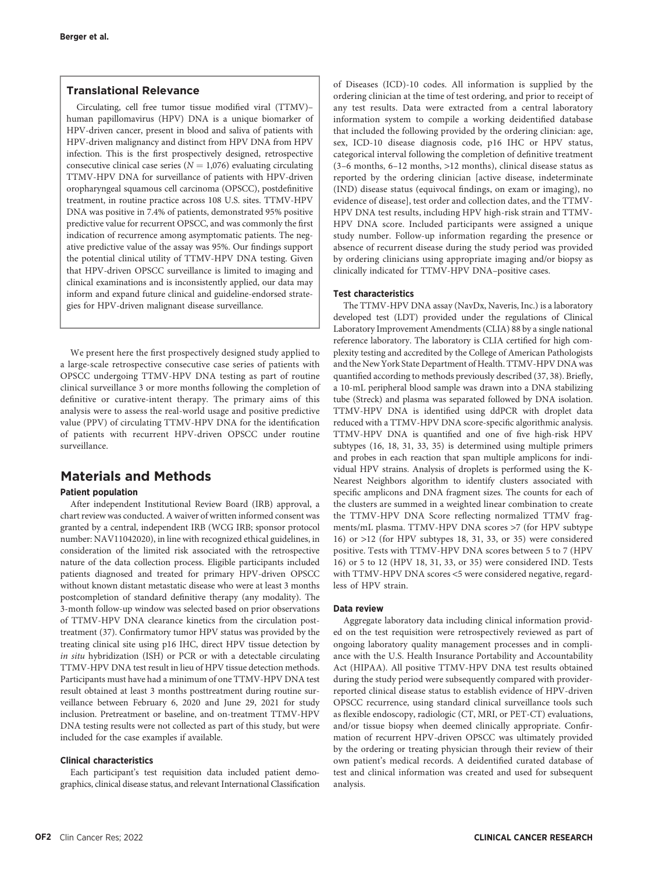# Translational Relevance

Circulating, cell free tumor tissue modified viral (TTMV)– human papillomavirus (HPV) DNA is a unique biomarker of HPV-driven cancer, present in blood and saliva of patients with HPV-driven malignancy and distinct from HPV DNA from HPV infection. This is the first prospectively designed, retrospective consecutive clinical case series ( $N = 1,076$ ) evaluating circulating TTMV-HPV DNA for surveillance of patients with HPV-driven oropharyngeal squamous cell carcinoma (OPSCC), postdefinitive treatment, in routine practice across 108 U.S. sites. TTMV-HPV DNA was positive in 7.4% of patients, demonstrated 95% positive predictive value for recurrent OPSCC, and was commonly the first indication of recurrence among asymptomatic patients. The negative predictive value of the assay was 95%. Our findings support the potential clinical utility of TTMV-HPV DNA testing. Given that HPV-driven OPSCC surveillance is limited to imaging and clinical examinations and is inconsistently applied, our data may inform and expand future clinical and guideline-endorsed strategies for HPV-driven malignant disease surveillance.

We present here the first prospectively designed study applied to a large-scale retrospective consecutive case series of patients with OPSCC undergoing TTMV-HPV DNA testing as part of routine clinical surveillance 3 or more months following the completion of definitive or curative-intent therapy. The primary aims of this analysis were to assess the real-world usage and positive predictive value (PPV) of circulating TTMV-HPV DNA for the identification of patients with recurrent HPV-driven OPSCC under routine surveillance.

# Materials and Methods

## Patient population

After independent Institutional Review Board (IRB) approval, a chart review was conducted. A waiver of written informed consent was granted by a central, independent IRB (WCG IRB; sponsor protocol number: NAV11042020), in line with recognized ethical guidelines, in consideration of the limited risk associated with the retrospective nature of the data collection process. Eligible participants included patients diagnosed and treated for primary HPV-driven OPSCC without known distant metastatic disease who were at least 3 months postcompletion of standard definitive therapy (any modality). The 3-month follow-up window was selected based on prior observations of TTMV-HPV DNA clearance kinetics from the circulation posttreatment (37). Confirmatory tumor HPV status was provided by the treating clinical site using p16 IHC, direct HPV tissue detection by in situ hybridization (ISH) or PCR or with a detectable circulating TTMV-HPV DNA test result in lieu of HPV tissue detection methods. Participants must have had a minimum of one TTMV-HPV DNA test result obtained at least 3 months posttreatment during routine surveillance between February 6, 2020 and June 29, 2021 for study inclusion. Pretreatment or baseline, and on-treatment TTMV-HPV DNA testing results were not collected as part of this study, but were included for the case examples if available.

# Clinical characteristics

Each participant's test requisition data included patient demographics, clinical disease status, and relevant International Classification of Diseases (ICD)-10 codes. All information is supplied by the ordering clinician at the time of test ordering, and prior to receipt of any test results. Data were extracted from a central laboratory information system to compile a working deidentified database that included the following provided by the ordering clinician: age, sex, ICD-10 disease diagnosis code, p16 IHC or HPV status, categorical interval following the completion of definitive treatment (3–6 months, 6–12 months, >12 months), clinical disease status as reported by the ordering clinician [active disease, indeterminate (IND) disease status (equivocal findings, on exam or imaging), no evidence of disease], test order and collection dates, and the TTMV-HPV DNA test results, including HPV high-risk strain and TTMV-HPV DNA score. Included participants were assigned a unique study number. Follow-up information regarding the presence or absence of recurrent disease during the study period was provided by ordering clinicians using appropriate imaging and/or biopsy as clinically indicated for TTMV-HPV DNA–positive cases.

#### Test characteristics

The TTMV-HPV DNA assay (NavDx, Naveris, Inc.) is a laboratory developed test (LDT) provided under the regulations of Clinical Laboratory Improvement Amendments (CLIA) 88 by a single national reference laboratory. The laboratory is CLIA certified for high complexity testing and accredited by the College of American Pathologists and the New York State Department of Health. TTMV-HPV DNA was quantified according to methods previously described (37, 38). Briefly, a 10-mL peripheral blood sample was drawn into a DNA stabilizing tube (Streck) and plasma was separated followed by DNA isolation. TTMV-HPV DNA is identified using ddPCR with droplet data reduced with a TTMV-HPV DNA score-specific algorithmic analysis. TTMV-HPV DNA is quantified and one of five high-risk HPV subtypes (16, 18, 31, 33, 35) is determined using multiple primers and probes in each reaction that span multiple amplicons for individual HPV strains. Analysis of droplets is performed using the K-Nearest Neighbors algorithm to identify clusters associated with specific amplicons and DNA fragment sizes. The counts for each of the clusters are summed in a weighted linear combination to create the TTMV-HPV DNA Score reflecting normalized TTMV fragments/mL plasma. TTMV-HPV DNA scores >7 (for HPV subtype 16) or >12 (for HPV subtypes 18, 31, 33, or 35) were considered positive. Tests with TTMV-HPV DNA scores between 5 to 7 (HPV 16) or 5 to 12 (HPV 18, 31, 33, or 35) were considered IND. Tests with TTMV-HPV DNA scores <5 were considered negative, regardless of HPV strain.

#### Data review

Aggregate laboratory data including clinical information provided on the test requisition were retrospectively reviewed as part of ongoing laboratory quality management processes and in compliance with the U.S. Health Insurance Portability and Accountability Act (HIPAA). All positive TTMV-HPV DNA test results obtained during the study period were subsequently compared with providerreported clinical disease status to establish evidence of HPV-driven OPSCC recurrence, using standard clinical surveillance tools such as flexible endoscopy, radiologic (CT, MRI, or PET-CT) evaluations, and/or tissue biopsy when deemed clinically appropriate. Confirmation of recurrent HPV-driven OPSCC was ultimately provided by the ordering or treating physician through their review of their own patient's medical records. A deidentified curated database of test and clinical information was created and used for subsequent analysis.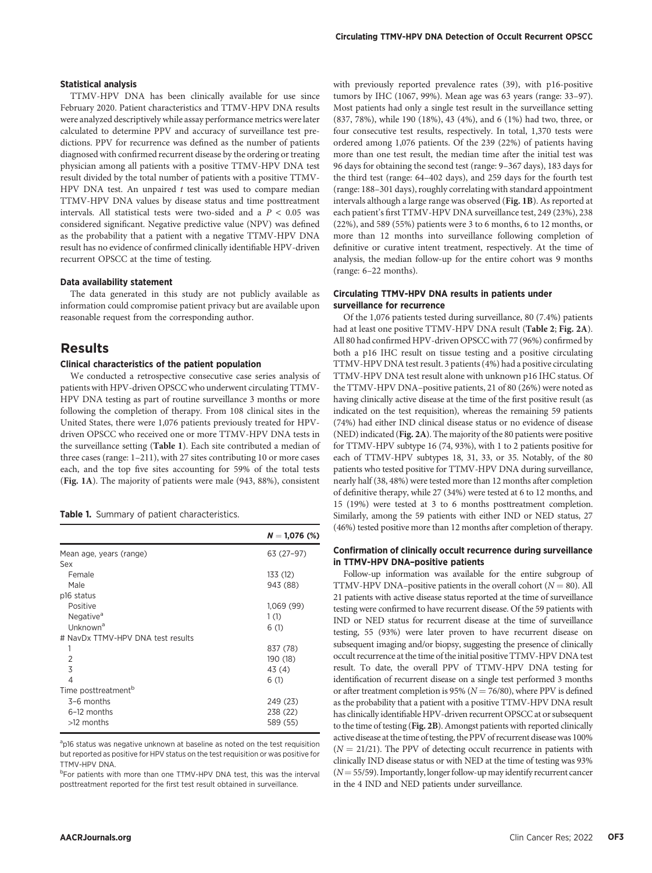#### Statistical analysis

TTMV-HPV DNA has been clinically available for use since February 2020. Patient characteristics and TTMV-HPV DNA results were analyzed descriptively while assay performance metrics were later calculated to determine PPV and accuracy of surveillance test predictions. PPV for recurrence was defined as the number of patients diagnosed with confirmed recurrent disease by the ordering or treating physician among all patients with a positive TTMV-HPV DNA test result divided by the total number of patients with a positive TTMV-HPV DNA test. An unpaired  $t$  test was used to compare median TTMV-HPV DNA values by disease status and time posttreatment intervals. All statistical tests were two-sided and a  $P < 0.05$  was considered significant. Negative predictive value (NPV) was defined as the probability that a patient with a negative TTMV-HPV DNA result has no evidence of confirmed clinically identifiable HPV-driven recurrent OPSCC at the time of testing.

#### Data availability statement

The data generated in this study are not publicly available as information could compromise patient privacy but are available upon reasonable request from the corresponding author.

# Results

#### Clinical characteristics of the patient population

We conducted a retrospective consecutive case series analysis of patients with HPV-driven OPSCC who underwent circulating TTMV-HPV DNA testing as part of routine surveillance 3 months or more following the completion of therapy. From 108 clinical sites in the United States, there were 1,076 patients previously treated for HPVdriven OPSCC who received one or more TTMV-HPV DNA tests in the surveillance setting (Table 1). Each site contributed a median of three cases (range: 1–211), with 27 sites contributing 10 or more cases each, and the top five sites accounting for 59% of the total tests (Fig. 1A). The majority of patients were male (943, 88%), consistent

Table 1. Summary of patient characteristics.

|                                   | $N = 1,076$ (%) |
|-----------------------------------|-----------------|
| Mean age, years (range)           | 63 (27-97)      |
| Sex                               |                 |
| Female                            | 133 (12)        |
| Male                              | 943 (88)        |
| p16 status                        |                 |
| Positive                          | 1,069 (99)      |
| Negative <sup>a</sup>             | 1(1)            |
| Unknown <sup>a</sup>              | 6(1)            |
| # NavDx TTMV-HPV DNA test results |                 |
| 1                                 | 837 (78)        |
| $\mathfrak{D}$                    | 190 (18)        |
| 3                                 | 43 (4)          |
| 4                                 | 6(1)            |
| Time posttreatment <sup>b</sup>   |                 |
| $3-6$ months                      | 249 (23)        |
| 6-12 months                       | 238 (22)        |
| $>12$ months                      | 589 (55)        |

<sup>a</sup>p16 status was negative unknown at baseline as noted on the test requisition but reported as positive for HPV status on the test requisition or was positive for TTMV-HPV DNA.

<sup>b</sup>For patients with more than one TTMV-HPV DNA test, this was the interval posttreatment reported for the first test result obtained in surveillance.

with previously reported prevalence rates (39), with p16-positive tumors by IHC (1067, 99%). Mean age was 63 years (range: 33–97). Most patients had only a single test result in the surveillance setting (837, 78%), while 190 (18%), 43 (4%), and 6 (1%) had two, three, or four consecutive test results, respectively. In total, 1,370 tests were ordered among 1,076 patients. Of the 239 (22%) of patients having more than one test result, the median time after the initial test was 96 days for obtaining the second test (range: 9–367 days), 183 days for the third test (range: 64–402 days), and 259 days for the fourth test (range: 188–301 days), roughly correlating with standard appointment intervals although a large range was observed (Fig. 1B). As reported at each patient's first TTMV-HPV DNA surveillance test, 249 (23%), 238 (22%), and 589 (55%) patients were 3 to 6 months, 6 to 12 months, or more than 12 months into surveillance following completion of definitive or curative intent treatment, respectively. At the time of analysis, the median follow-up for the entire cohort was 9 months (range: 6–22 months).

#### Circulating TTMV-HPV DNA results in patients under surveillance for recurrence

Of the 1,076 patients tested during surveillance, 80 (7.4%) patients had at least one positive TTMV-HPV DNA result (Table 2; Fig. 2A). All 80 had confirmed HPV-driven OPSCC with 77 (96%) confirmed by both a p16 IHC result on tissue testing and a positive circulating TTMV-HPV DNA test result. 3 patients (4%) had a positive circulating TTMV-HPV DNA test result alone with unknown p16 IHC status. Of the TTMV-HPV DNA–positive patients, 21 of 80 (26%) were noted as having clinically active disease at the time of the first positive result (as indicated on the test requisition), whereas the remaining 59 patients (74%) had either IND clinical disease status or no evidence of disease (NED) indicated (Fig. 2A). The majority of the 80 patients were positive for TTMV-HPV subtype 16 (74, 93%), with 1 to 2 patients positive for each of TTMV-HPV subtypes 18, 31, 33, or 35. Notably, of the 80 patients who tested positive for TTMV-HPV DNA during surveillance, nearly half (38, 48%) were tested more than 12 months after completion of definitive therapy, while 27 (34%) were tested at 6 to 12 months, and 15 (19%) were tested at 3 to 6 months posttreatment completion. Similarly, among the 59 patients with either IND or NED status, 27 (46%) tested positive more than 12 months after completion of therapy.

#### Confirmation of clinically occult recurrence during surveillance in TTMV-HPV DNA–positive patients

Follow-up information was available for the entire subgroup of TTMV-HPV DNA–positive patients in the overall cohort ( $N = 80$ ). All 21 patients with active disease status reported at the time of surveillance testing were confirmed to have recurrent disease. Of the 59 patients with IND or NED status for recurrent disease at the time of surveillance testing, 55 (93%) were later proven to have recurrent disease on subsequent imaging and/or biopsy, suggesting the presence of clinically occult recurrence at the time of the initial positive TTMV-HPV DNA test result. To date, the overall PPV of TTMV-HPV DNA testing for identification of recurrent disease on a single test performed 3 months or after treatment completion is 95% ( $N = 76/80$ ), where PPV is defined as the probability that a patient with a positive TTMV-HPV DNA result has clinically identifiable HPV-driven recurrent OPSCC at or subsequent to the time of testing (Fig. 2B). Amongst patients with reported clinically active disease at the time of testing, the PPV of recurrent diseasewas 100%  $(N = 21/21)$ . The PPV of detecting occult recurrence in patients with clinically IND disease status or with NED at the time of testing was 93%  $(N=55/59)$ . Importantly, longer follow-up may identify recurrent cancer in the 4 IND and NED patients under surveillance.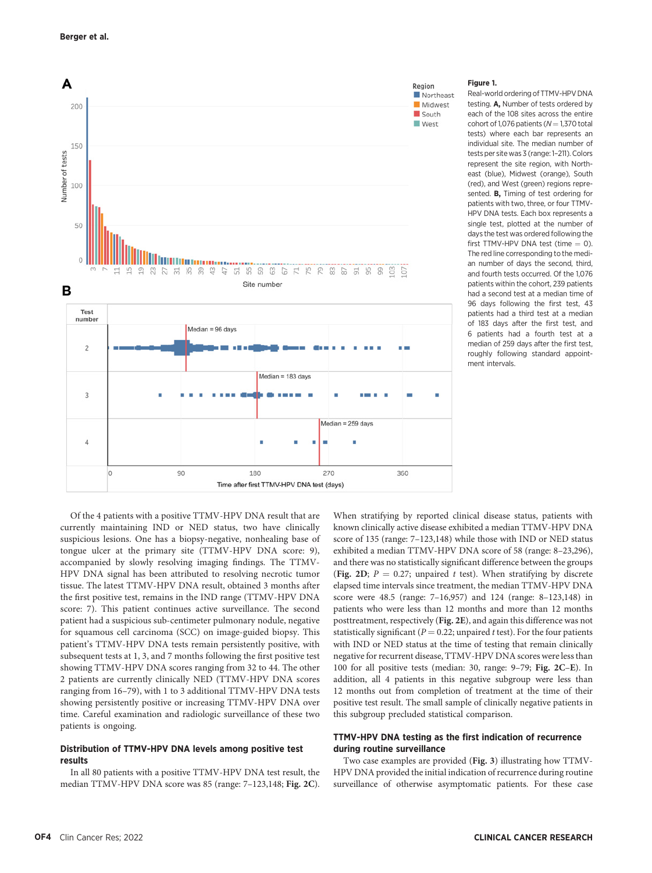

#### Figure 1.

Real-world ordering of TTMV-HPV DNA testing. A, Number of tests ordered by each of the 108 sites across the entire  $\frac{\text{cohort of 1076}}{\text{a}}$  patients ( $N = 1,370$  total tests) where each bar represents an individual site. The median number of tests per site was 3 (range: 1–211). Colors represent the site region, with Northeast (blue), Midwest (orange), South (red), and West (green) regions represented. B, Timing of test ordering for patients with two, three, or four TTMV-HPV DNA tests. Each box represents a single test, plotted at the number of days the test was ordered following the first TTMV-HPV DNA test (time  $= 0$ ). The red line corresponding to the median number of days the second, third, and fourth tests occurred. Of the 1,076 patients within the cohort, 239 patients had a second test at a median time of 96 days following the first test, 43 patients had a third test at a median of 183 days after the first test, and 6 patients had a fourth test at a median of 259 days after the first test, roughly following standard appointment intervals.

Of the 4 patients with a positive TTMV-HPV DNA result that are currently maintaining IND or NED status, two have clinically suspicious lesions. One has a biopsy-negative, nonhealing base of tongue ulcer at the primary site (TTMV-HPV DNA score: 9), accompanied by slowly resolving imaging findings. The TTMV-HPV DNA signal has been attributed to resolving necrotic tumor tissue. The latest TTMV-HPV DNA result, obtained 3 months after the first positive test, remains in the IND range (TTMV-HPV DNA score: 7). This patient continues active surveillance. The second patient had a suspicious sub-centimeter pulmonary nodule, negative for squamous cell carcinoma (SCC) on image-guided biopsy. This patient's TTMV-HPV DNA tests remain persistently positive, with subsequent tests at 1, 3, and 7 months following the first positive test showing TTMV-HPV DNA scores ranging from 32 to 44. The other 2 patients are currently clinically NED (TTMV-HPV DNA scores ranging from 16–79), with 1 to 3 additional TTMV-HPV DNA tests showing persistently positive or increasing TTMV-HPV DNA over time. Careful examination and radiologic surveillance of these two patients is ongoing.

#### Distribution of TTMV-HPV DNA levels among positive test rosults

In all 80 patients with a positive TTMV-HPV DNA test result, the median TTMV-HPV DNA score was 85 (range: 7–123,148; Fig. 2C). When stratifying by reported clinical disease status, patients with known clinically active disease exhibited a median TTMV-HPV DNA score of 135 (range: 7–123,148) while those with IND or NED status exhibited a median TTMV-HPV DNA score of 58 (range: 8–23,296), and there was no statistically significant difference between the groups (Fig. 2D;  $P = 0.27$ ; unpaired t test). When stratifying by discrete elapsed time intervals since treatment, the median TTMV-HPV DNA score were 48.5 (range: 7–16,957) and 124 (range: 8–123,148) in patients who were less than 12 months and more than 12 months posttreatment, respectively (Fig. 2E), and again this difference was not statistically significant ( $P = 0.22$ ; unpaired t test). For the four patients with IND or NED status at the time of testing that remain clinically negative for recurrent disease, TTMV-HPV DNA scores were less than 100 for all positive tests (median: 30, range: 9–79; Fig. 2C–E). In addition, all 4 patients in this negative subgroup were less than 12 months out from completion of treatment at the time of their positive test result. The small sample of clinically negative patients in this subgroup precluded statistical comparison.

#### TTMV-HPV DNA testing as the first indication of recurrence during routine surveillance

Two case examples are provided (Fig. 3) illustrating how TTMV-HPV DNA provided the initial indication of recurrence during routine surveillance of otherwise asymptomatic patients. For these case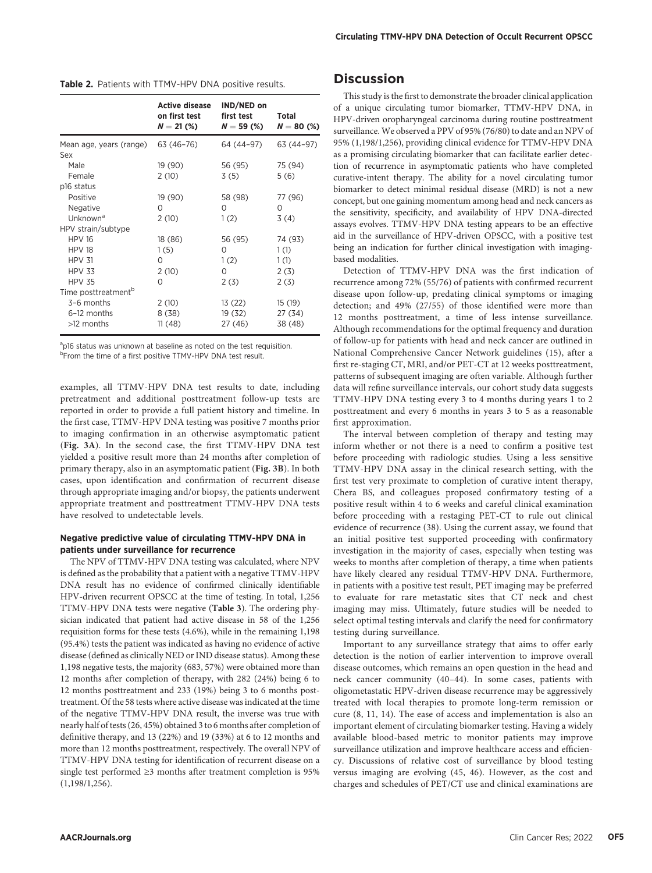|                                 | <b>Active disease</b><br>on first test<br>$N = 21$ (%) | IND/NED on<br>first test<br>$N = 59(%)$ | Total<br>$N = 80$ (%) |
|---------------------------------|--------------------------------------------------------|-----------------------------------------|-----------------------|
| Mean age, years (range)         | 63 (46–76)                                             | 64 (44–97)                              | 63 (44-97)            |
| Sex                             |                                                        |                                         |                       |
| Male                            | 19 (90)                                                | 56 (95)                                 | 75 (94)               |
| Female                          | 2(10)                                                  | 3(5)                                    | 5(6)                  |
| p16 status                      |                                                        |                                         |                       |
| Positive                        | 19 (90)                                                | 58 (98)                                 | 77 (96)               |
| Negative                        | Ω                                                      | Ω                                       | ∩                     |
| Unknown <sup>a</sup>            | 2(10)                                                  | 1(2)                                    | 3(4)                  |
| HPV strain/subtype              |                                                        |                                         |                       |
| <b>HPV 16</b>                   | 18 (86)                                                | 56 (95)                                 | 74 (93)               |
| <b>HPV 18</b>                   | 1(5)                                                   | Ο                                       | 1(1)                  |
| <b>HPV 31</b>                   | 0                                                      | 1(2)                                    | 1(1)                  |
| <b>HPV 33</b>                   | 2(10)                                                  | Ω                                       | 2(3)                  |
| <b>HPV 35</b>                   | Ω                                                      | 2(3)                                    | 2(3)                  |
| Time posttreatment <sup>b</sup> |                                                        |                                         |                       |
| 3-6 months                      | 2(10)                                                  | 13 (22)                                 | 15 (19)               |
| 6-12 months                     | 8(38)                                                  | 19 (32)                                 | 27 (34)               |
| $>12$ months                    | 11(48)                                                 | 27 (46)                                 | 38 (48)               |

<sup>a</sup>p16 status was unknown at baseline as noted on the test requisition. <sup>b</sup>From the time of a first positive TTMV-HPV DNA test result.

examples, all TTMV-HPV DNA test results to date, including pretreatment and additional posttreatment follow-up tests are reported in order to provide a full patient history and timeline. In the first case, TTMV-HPV DNA testing was positive 7 months prior to imaging confirmation in an otherwise asymptomatic patient (Fig. 3A). In the second case, the first TTMV-HPV DNA test yielded a positive result more than 24 months after completion of primary therapy, also in an asymptomatic patient (Fig. 3B). In both cases, upon identification and confirmation of recurrent disease through appropriate imaging and/or biopsy, the patients underwent appropriate treatment and posttreatment TTMV-HPV DNA tests have resolved to undetectable levels.

#### Negative predictive value of circulating TTMV-HPV DNA in patients under surveillance for recurrence

The NPV of TTMV-HPV DNA testing was calculated, where NPV is defined as the probability that a patient with a negative TTMV-HPV DNA result has no evidence of confirmed clinically identifiable HPV-driven recurrent OPSCC at the time of testing. In total, 1,256 TTMV-HPV DNA tests were negative (Table 3). The ordering physician indicated that patient had active disease in 58 of the 1,256 requisition forms for these tests (4.6%), while in the remaining 1,198 (95.4%) tests the patient was indicated as having no evidence of active disease (defined as clinically NED or IND disease status). Among these 1,198 negative tests, the majority (683, 57%) were obtained more than 12 months after completion of therapy, with 282 (24%) being 6 to 12 months posttreatment and 233 (19%) being 3 to 6 months posttreatment. Of the 58 tests where active disease was indicated at the time of the negative TTMV-HPV DNA result, the inverse was true with nearly half of tests (26, 45%) obtained 3 to 6 months after completion of definitive therapy, and 13 (22%) and 19 (33%) at 6 to 12 months and more than 12 months posttreatment, respectively. The overall NPV of TTMV-HPV DNA testing for identification of recurrent disease on a single test performed ≥3 months after treatment completion is 95% (1,198/1,256).

# **Discussion**

This study is the first to demonstrate the broader clinical application of a unique circulating tumor biomarker, TTMV-HPV DNA, in HPV-driven oropharyngeal carcinoma during routine posttreatment surveillance. We observed a PPV of 95% (76/80) to date and an NPV of 95% (1,198/1,256), providing clinical evidence for TTMV-HPV DNA as a promising circulating biomarker that can facilitate earlier detection of recurrence in asymptomatic patients who have completed curative-intent therapy. The ability for a novel circulating tumor biomarker to detect minimal residual disease (MRD) is not a new concept, but one gaining momentum among head and neck cancers as the sensitivity, specificity, and availability of HPV DNA-directed assays evolves. TTMV-HPV DNA testing appears to be an effective aid in the surveillance of HPV-driven OPSCC, with a positive test being an indication for further clinical investigation with imagingbased modalities.

Detection of TTMV-HPV DNA was the first indication of recurrence among 72% (55/76) of patients with confirmed recurrent disease upon follow-up, predating clinical symptoms or imaging detection; and 49% (27/55) of those identified were more than 12 months posttreatment, a time of less intense surveillance. Although recommendations for the optimal frequency and duration of follow-up for patients with head and neck cancer are outlined in National Comprehensive Cancer Network guidelines (15), after a first re-staging CT, MRI, and/or PET-CT at 12 weeks posttreatment, patterns of subsequent imaging are often variable. Although further data will refine surveillance intervals, our cohort study data suggests TTMV-HPV DNA testing every 3 to 4 months during years 1 to 2 posttreatment and every 6 months in years 3 to 5 as a reasonable first approximation.

The interval between completion of therapy and testing may inform whether or not there is a need to confirm a positive test before proceeding with radiologic studies. Using a less sensitive TTMV-HPV DNA assay in the clinical research setting, with the first test very proximate to completion of curative intent therapy, Chera BS, and colleagues proposed confirmatory testing of a positive result within 4 to 6 weeks and careful clinical examination before proceeding with a restaging PET-CT to rule out clinical evidence of recurrence (38). Using the current assay, we found that an initial positive test supported proceeding with confirmatory investigation in the majority of cases, especially when testing was weeks to months after completion of therapy, a time when patients have likely cleared any residual TTMV-HPV DNA. Furthermore, in patients with a positive test result, PET imaging may be preferred to evaluate for rare metastatic sites that CT neck and chest imaging may miss. Ultimately, future studies will be needed to select optimal testing intervals and clarify the need for confirmatory testing during surveillance.

Important to any surveillance strategy that aims to offer early detection is the notion of earlier intervention to improve overall disease outcomes, which remains an open question in the head and neck cancer community (40–44). In some cases, patients with oligometastatic HPV-driven disease recurrence may be aggressively treated with local therapies to promote long-term remission or cure (8, 11, 14). The ease of access and implementation is also an important element of circulating biomarker testing. Having a widely available blood-based metric to monitor patients may improve surveillance utilization and improve healthcare access and efficiency. Discussions of relative cost of surveillance by blood testing versus imaging are evolving (45, 46). However, as the cost and charges and schedules of PET/CT use and clinical examinations are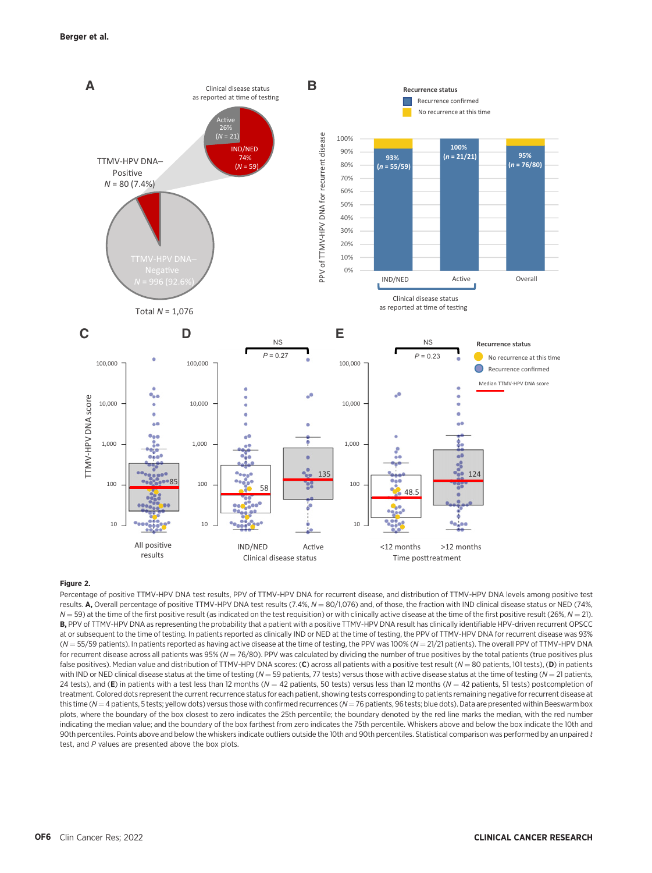

#### Figure 2.

Percentage of positive TTMV-HPV DNA test results, PPV of TTMV-HPV DNA for recurrent disease, and distribution of TTMV-HPV DNA levels among positive test results. A, Overall percentage of positive TTMV-HPV DNA test results (7.4%,  $N = 80/1,076$ ) and, of those, the fraction with IND clinical disease status or NED (74%,  $N = 59$ ) at the time of the first positive result (as indicated on the test requisition) or with clinically active disease at the time of the first positive result (26%,  $N = 21$ ). B, PPV of TTMV-HPV DNA as representing the probability that a patient with a positive TTMV-HPV DNA result has clinically identifiable HPV-driven recurrent OPSCC at or subsequent to the time of testing. In patients reported as clinically IND or NED at the time of testing, the PPV of TTMV-HPV DNA for recurrent disease was 93%  $(N = 55/59$  patients). In patients reported as having active disease at the time of testing, the PPV was 100% ( $N = 21/21$  patients). The overall PPV of TTMV-HPV DNA for recurrent disease across all patients was 95% ( $N = 76/80$ ). PPV was calculated by dividing the number of true positives by the total patients (true positives plus false positives). Median value and distribution of TTMV-HPV DNA scores: (C) across all patients with a positive test result ( $N = 80$  patients, 101 tests), (D) in patients with IND or NED clinical disease status at the time of testing ( $N = 59$  patients, 77 tests) versus those with active disease status at the time of testing ( $N = 21$  patients, 24 tests), and (E) in patients with a test less than 12 months ( $N = 42$  patients, 50 tests) versus less than 12 months ( $N = 42$  patients, 51 tests) postcompletion of treatment. Colored dots represent the current recurrence status for each patient, showing tests corresponding to patients remaining negative for recurrent disease at this time ( $N=4$  patients, 5 tests; yellow dots) versus those with confirmed recurrences ( $N=76$  patients, 96 tests; blue dots). Data are presented within Beeswarm box plots, where the boundary of the box closest to zero indicates the 25th percentile; the boundary denoted by the red line marks the median, with the red number indicating the median value; and the boundary of the box farthest from zero indicates the 75th percentile. Whiskers above and below the box indicate the 10th and 90th percentiles. Points above and below the whiskers indicate outliers outside the 10th and 90th percentiles. Statistical comparison was performed by an unpaired t test, and P values are presented above the box plots.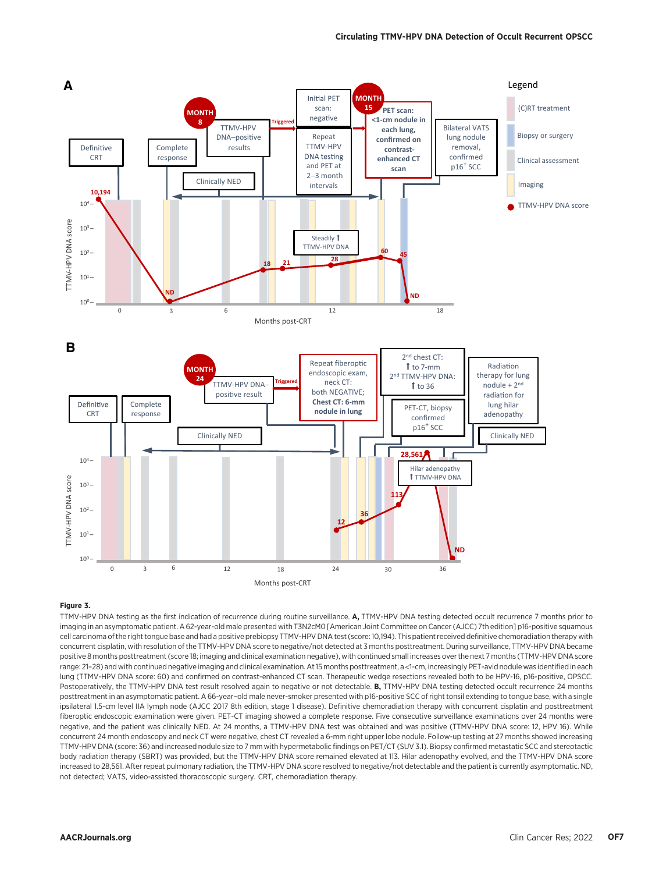

#### Figure 3.

TTMV-HPV DNA testing as the first indication of recurrence during routine surveillance. A, TTMV-HPV DNA testing detected occult recurrence 7 months prior to imaging in an asymptomatic patient. A 62-year-old male presented with T3N2cM0 [American Joint Committee on Cancer (AJCC) 7th edition] p16-positive squamous cell carcinoma of the right tongue base and had a positive prebiopsy TTMV-HPV DNA test (score: 10,194). This patient received definitive chemoradiation therapy with concurrent cisplatin, with resolution of the TTMV-HPV DNA score to negative/not detected at 3 months posttreatment. During surveillance, TTMV-HPV DNA became positive 8 months posttreatment (score 18; imaging and clinical examination negative), with continued small increases over the next 7 months (TTMV-HPV DNA score range: 21–28) and with continued negative imaging and clinical examination. At 15 months posttreatment, a <1-cm, increasingly PET-avid nodule was identified in each lung (TTMV-HPV DNA score: 60) and confirmed on contrast-enhanced CT scan. Therapeutic wedge resections revealed both to be HPV-16, p16-positive, OPSCC. Postoperatively, the TTMV-HPV DNA test result resolved again to negative or not detectable. B, TTMV-HPV DNA testing detected occult recurrence 24 months posttreatment in an asymptomatic patient. A 66-year–old male never-smoker presented with p16-positive SCC of right tonsil extending to tongue base, with a single ipsilateral 1.5-cm level IIA lymph node (AJCC 2017 8th edition, stage 1 disease). Definitive chemoradiation therapy with concurrent cisplatin and posttreatment fiberoptic endoscopic examination were given. PET-CT imaging showed a complete response. Five consecutive surveillance examinations over 24 months were negative, and the patient was clinically NED. At 24 months, a TTMV-HPV DNA test was obtained and was positive (TTMV-HPV DNA score: 12, HPV 16). While concurrent 24 month endoscopy and neck CT were negative, chest CT revealed a 6-mm right upper lobe nodule. Follow-up testing at 27 months showed increasing TTMV-HPV DNA (score: 36) and increased nodule size to 7 mm with hypermetabolic findings on PET/CT (SUV 3.1). Biopsy confirmed metastatic SCC and stereotactic body radiation therapy (SBRT) was provided, but the TTMV-HPV DNA score remained elevated at 113. Hilar adenopathy evolved, and the TTMV-HPV DNA score increased to 28,561. After repeat pulmonary radiation, the TTMV-HPV DNA score resolved to negative/not detectable and the patient is currently asymptomatic. ND, not detected; VATS, video-assisted thoracoscopic surgery. CRT, chemoradiation therapy.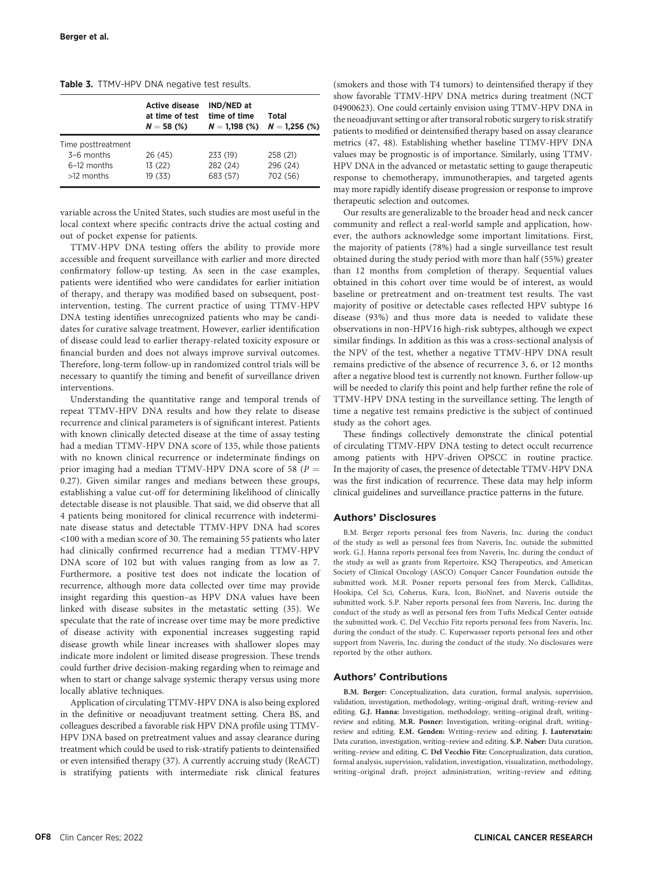| Table 3. TTMV-HPV DNA negative test results. |  |
|----------------------------------------------|--|
|----------------------------------------------|--|

|                    | <b>Active disease</b><br>at time of test<br>$N = 58$ (%) | IND/NED at<br>time of time<br>$N = 1,198$ (%) | Total<br>$N = 1,256$ (%) |
|--------------------|----------------------------------------------------------|-----------------------------------------------|--------------------------|
| Time posttreatment |                                                          |                                               |                          |
| $3-6$ months       | 26 (45)                                                  | 233 (19)                                      | 258 (21)                 |
| 6-12 months        | 13(22)                                                   | 282 (24)                                      | 296 (24)                 |
| $>12$ months       | 19 (33)                                                  | 683 (57)                                      | 702 (56)                 |

variable across the United States, such studies are most useful in the local context where specific contracts drive the actual costing and out of pocket expense for patients.

TTMV-HPV DNA testing offers the ability to provide more accessible and frequent surveillance with earlier and more directed confirmatory follow-up testing. As seen in the case examples, patients were identified who were candidates for earlier initiation of therapy, and therapy was modified based on subsequent, postintervention, testing. The current practice of using TTMV-HPV DNA testing identifies unrecognized patients who may be candidates for curative salvage treatment. However, earlier identification of disease could lead to earlier therapy-related toxicity exposure or financial burden and does not always improve survival outcomes. Therefore, long-term follow-up in randomized control trials will be necessary to quantify the timing and benefit of surveillance driven interventions.

Understanding the quantitative range and temporal trends of repeat TTMV-HPV DNA results and how they relate to disease recurrence and clinical parameters is of significant interest. Patients with known clinically detected disease at the time of assay testing had a median TTMV-HPV DNA score of 135, while those patients with no known clinical recurrence or indeterminate findings on prior imaging had a median TTMV-HPV DNA score of 58 ( $P =$ 0.27). Given similar ranges and medians between these groups, establishing a value cut-off for determining likelihood of clinically detectable disease is not plausible. That said, we did observe that all 4 patients being monitored for clinical recurrence with indeterminate disease status and detectable TTMV-HPV DNA had scores <100 with a median score of 30. The remaining 55 patients who later had clinically confirmed recurrence had a median TTMV-HPV DNA score of 102 but with values ranging from as low as 7. Furthermore, a positive test does not indicate the location of recurrence, although more data collected over time may provide insight regarding this question–as HPV DNA values have been linked with disease subsites in the metastatic setting (35). We speculate that the rate of increase over time may be more predictive of disease activity with exponential increases suggesting rapid disease growth while linear increases with shallower slopes may indicate more indolent or limited disease progression. These trends could further drive decision-making regarding when to reimage and when to start or change salvage systemic therapy versus using more locally ablative techniques.

Application of circulating TTMV-HPV DNA is also being explored in the definitive or neoadjuvant treatment setting. Chera BS, and colleagues described a favorable risk HPV DNA profile using TTMV-HPV DNA based on pretreatment values and assay clearance during treatment which could be used to risk-stratify patients to deintensified or even intensified therapy (37). A currently accruing study (ReACT) is stratifying patients with intermediate risk clinical features (smokers and those with T4 tumors) to deintensified therapy if they show favorable TTMV-HPV DNA metrics during treatment (NCT 04900623). One could certainly envision using TTMV-HPV DNA in the neoadjuvant setting or after transoral robotic surgery to risk stratify patients to modified or deintensified therapy based on assay clearance metrics (47, 48). Establishing whether baseline TTMV-HPV DNA values may be prognostic is of importance. Similarly, using TTMV-HPV DNA in the advanced or metastatic setting to gauge therapeutic response to chemotherapy, immunotherapies, and targeted agents may more rapidly identify disease progression or response to improve therapeutic selection and outcomes.

Our results are generalizable to the broader head and neck cancer community and reflect a real-world sample and application, however, the authors acknowledge some important limitations. First, the majority of patients (78%) had a single surveillance test result obtained during the study period with more than half (55%) greater than 12 months from completion of therapy. Sequential values obtained in this cohort over time would be of interest, as would baseline or pretreatment and on-treatment test results. The vast majority of positive or detectable cases reflected HPV subtype 16 disease (93%) and thus more data is needed to validate these observations in non-HPV16 high-risk subtypes, although we expect similar findings. In addition as this was a cross-sectional analysis of the NPV of the test, whether a negative TTMV-HPV DNA result remains predictive of the absence of recurrence 3, 6, or 12 months after a negative blood test is currently not known. Further follow-up will be needed to clarify this point and help further refine the role of TTMV-HPV DNA testing in the surveillance setting. The length of time a negative test remains predictive is the subject of continued study as the cohort ages.

These findings collectively demonstrate the clinical potential of circulating TTMV-HPV DNA testing to detect occult recurrence among patients with HPV-driven OPSCC in routine practice. In the majority of cases, the presence of detectable TTMV-HPV DNA was the first indication of recurrence. These data may help inform clinical guidelines and surveillance practice patterns in the future.

#### Authors' Disclosures

B.M. Berger reports personal fees from Naveris, Inc. during the conduct of the study as well as personal fees from Naveris, Inc. outside the submitted work. G.J. Hanna reports personal fees from Naveris, Inc. during the conduct of the study as well as grants from Repertoire, KSQ Therapeutics, and American Society of Clinical Oncology (ASCO) Conquer Cancer Foundation outside the submitted work. M.R. Posner reports personal fees from Merck, Calliditas, Hookipa, Cel Sci, Coherus, Kura, Icon, BioNnet, and Naveris outside the submitted work. S.P. Naber reports personal fees from Naveris, Inc. during the conduct of the study as well as personal fees from Tufts Medical Center outside the submitted work. C. Del Vecchio Fitz reports personal fees from Naveris, Inc. during the conduct of the study. C. Kuperwasser reports personal fees and other support from Naveris, Inc. during the conduct of the study. No disclosures were reported by the other authors.

#### Authors' Contributions

B.M. Berger: Conceptualization, data curation, formal analysis, supervision, validation, investigation, methodology, writing–original draft, writing–review and editing. G.J. Hanna: Investigation, methodology, writing–original draft, writing– review and editing. M.R. Posner: Investigation, writing–original draft, writing– review and editing. E.M. Genden: Writing–review and editing. J. Lautersztain: Data curation, investigation, writing–review and editing. S.P. Naber: Data curation, writing–review and editing. C. Del Vecchio Fitz: Conceptualization, data curation, formal analysis, supervision, validation, investigation, visualization, methodology, writing–original draft, project administration, writing–review and editing.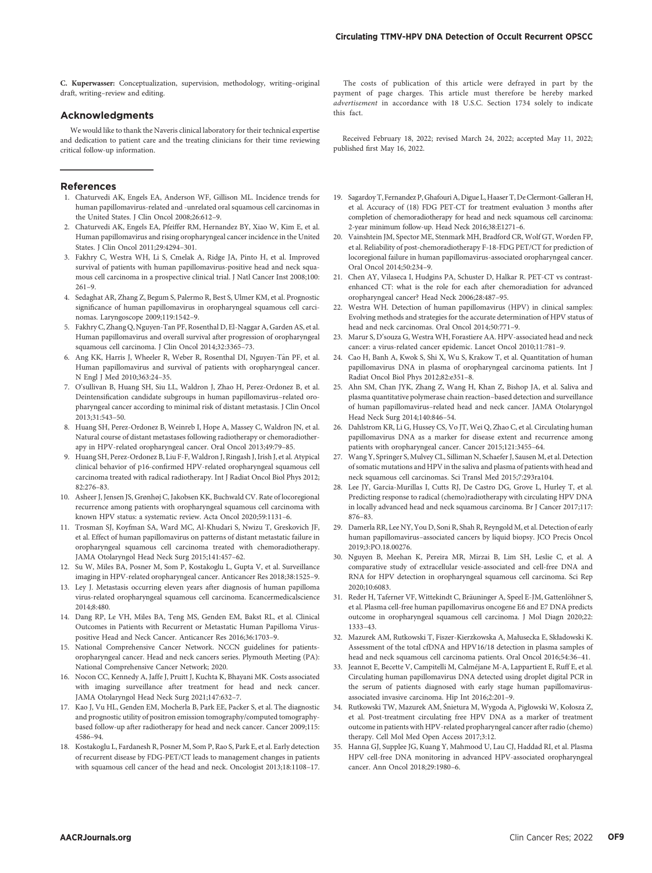C. Kuperwasser: Conceptualization, supervision, methodology, writing–original draft, writing–review and editing.

#### Acknowledgments

We would like to thank the Naveris clinical laboratory for their technical expertise and dedication to patient care and the treating clinicians for their time reviewing critical follow-up information.

#### References

- 1. Chaturvedi AK, Engels EA, Anderson WF, Gillison ML. Incidence trends for human papillomavirus-related and -unrelated oral squamous cell carcinomas in the United States. J Clin Oncol 2008;26:612–9.
- 2. Chaturvedi AK, Engels EA, Pfeiffer RM, Hernandez BY, Xiao W, Kim E, et al. Human papillomavirus and rising oropharyngeal cancer incidence in the United States. J Clin Oncol 2011;29:4294–301.
- 3. Fakhry C, Westra WH, Li S, Cmelak A, Ridge JA, Pinto H, et al. Improved survival of patients with human papillomavirus-positive head and neck squamous cell carcinoma in a prospective clinical trial. J Natl Cancer Inst 2008;100: 261–9.
- 4. Sedaghat AR, Zhang Z, Begum S, Palermo R, Best S, Ulmer KM, et al. Prognostic significance of human papillomavirus in oropharyngeal squamous cell carcinomas. Laryngoscope 2009;119:1542–9.
- 5. Fakhry C, Zhang Q, Nguyen-Tan PF, Rosenthal D, El-Naggar A, Garden AS, et al. Human papillomavirus and overall survival after progression of oropharyngeal squamous cell carcinoma. J Clin Oncol 2014;32:3365-73.
- 6. Ang KK, Harris J, Wheeler R, Weber R, Rosenthal DI, Nguyen-T^an PF, et al. Human papillomavirus and survival of patients with oropharyngeal cancer. N Engl J Med 2010;363:24–35.
- 7. O'sullivan B, Huang SH, Siu LL, Waldron J, Zhao H, Perez-Ordonez B, et al. Deintensification candidate subgroups in human papillomavirus–related oropharyngeal cancer according to minimal risk of distant metastasis. J Clin Oncol 2013;31:543–50.
- 8. Huang SH, Perez-Ordonez B, Weinreb I, Hope A, Massey C, Waldron JN, et al. Natural course of distant metastases following radiotherapy or chemoradiotherapy in HPV-related oropharyngeal cancer. Oral Oncol 2013;49:79–85.
- 9. Huang SH, Perez-Ordonez B, Liu F-F, Waldron J, Ringash J, Irish J, et al. Atypical clinical behavior of p16-confirmed HPV-related oropharyngeal squamous cell carcinoma treated with radical radiotherapy. Int J Radiat Oncol Biol Phys 2012; 82:276–83.
- 10. Asheer J, Jensen JS, Grønhøj C, Jakobsen KK, Buchwald CV. Rate of locoregional recurrence among patients with oropharyngeal squamous cell carcinoma with known HPV status: a systematic review. Acta Oncol 2020;59:1131–6.
- 11. Trosman SJ, Koyfman SA, Ward MC, Al-Khudari S, Nwizu T, Greskovich JF, et al. Effect of human papillomavirus on patterns of distant metastatic failure in oropharyngeal squamous cell carcinoma treated with chemoradiotherapy. JAMA Otolaryngol Head Neck Surg 2015;141:457–62.
- 12. Su W, Miles BA, Posner M, Som P, Kostakoglu L, Gupta V, et al. Surveillance imaging in HPV-related oropharyngeal cancer. Anticancer Res 2018;38:1525–9.
- 13. Ley J. Metastasis occurring eleven years after diagnosis of human papilloma virus-related oropharyngeal squamous cell carcinoma. Ecancermedicalscience 2014;8:480.
- 14. Dang RP, Le VH, Miles BA, Teng MS, Genden EM, Bakst RL, et al. Clinical Outcomes in Patients with Recurrent or Metastatic Human Papilloma Viruspositive Head and Neck Cancer. Anticancer Res 2016;36:1703–9.
- 15. National Comprehensive Cancer Network. NCCN guidelines for patientsoropharyngeal cancer. Head and neck cancers series. Plymouth Meeting (PA): National Comprehensive Cancer Network; 2020.
- 16. Nocon CC, Kennedy A, Jaffe J, Pruitt J, Kuchta K, Bhayani MK. Costs associated with imaging surveillance after treatment for head and neck cancer. JAMA Otolaryngol Head Neck Surg 2021;147:632–7.
- 17. Kao J, Vu HL, Genden EM, Mocherla B, Park EE, Packer S, et al. The diagnostic and prognostic utility of positron emission tomography/computed tomographybased follow-up after radiotherapy for head and neck cancer. Cancer 2009;115: 4586–94.
- 18. Kostakoglu L, Fardanesh R, Posner M, Som P, Rao S, Park E, et al. Early detection of recurrent disease by FDG-PET/CT leads to management changes in patients with squamous cell cancer of the head and neck. Oncologist 2013;18:1108–17.

The costs of publication of this article were defrayed in part by the payment of page charges. This article must therefore be hereby marked advertisement in accordance with 18 U.S.C. Section 1734 solely to indicate this fact.

Received February 18, 2022; revised March 24, 2022; accepted May 11, 2022; published first May 16, 2022.

- 19. Sagardoy T, Fernandez P, Ghafouri A, Digue L, Haaser T, De Clermont-Galleran H, et al. Accuracy of (18) FDG PET-CT for treatment evaluation 3 months after completion of chemoradiotherapy for head and neck squamous cell carcinoma: 2-year minimum follow-up. Head Neck 2016;38:E1271–6.
- 20. Vainshtein JM, Spector ME, Stenmark MH, Bradford CR, Wolf GT, Worden FP, et al. Reliability of post-chemoradiotherapy F-18-FDG PET/CT for prediction of locoregional failure in human papillomavirus-associated oropharyngeal cancer. Oral Oncol 2014;50:234–9.
- 21. Chen AY, Vilaseca I, Hudgins PA, Schuster D, Halkar R. PET-CT vs contrastenhanced CT: what is the role for each after chemoradiation for advanced oropharyngeal cancer? Head Neck 2006;28:487–95.
- 22. Westra WH. Detection of human papillomavirus (HPV) in clinical samples: Evolving methods and strategies for the accurate determination of HPV status of head and neck carcinomas. Oral Oncol 2014;50:771–9.
- 23. Marur S, D'souza G, Westra WH, Forastiere AA. HPV-associated head and neck cancer: a virus-related cancer epidemic. Lancet Oncol 2010;11:781–9.
- 24. Cao H, Banh A, Kwok S, Shi X, Wu S, Krakow T, et al. Quantitation of human papillomavirus DNA in plasma of oropharyngeal carcinoma patients. Int J Radiat Oncol Biol Phys 2012;82:e351–8.
- 25. Ahn SM, Chan JYK, Zhang Z, Wang H, Khan Z, Bishop JA, et al. Saliva and plasma quantitative polymerase chain reaction–based detection and surveillance of human papillomavirus–related head and neck cancer. JAMA Otolaryngol Head Neck Surg 2014;140:846–54.
- 26. Dahlstrom KR, Li G, Hussey CS, Vo JT, Wei Q, Zhao C, et al. Circulating human papillomavirus DNA as a marker for disease extent and recurrence among patients with oropharyngeal cancer. Cancer 2015;121:3455–64.
- 27. Wang Y, Springer S, Mulvey CL, Silliman N, Schaefer J, Sausen M, et al. Detection of somatic mutations and HPV in the saliva and plasma of patients with head and neck squamous cell carcinomas. Sci Transl Med 2015;7:293ra104.
- 28. Lee JY, Garcia-Murillas I, Cutts RJ, De Castro DG, Grove L, Hurley T, et al. Predicting response to radical (chemo)radiotherapy with circulating HPV DNA in locally advanced head and neck squamous carcinoma. Br J Cancer 2017;117: 876–83.
- 29. Damerla RR, Lee NY, You D, Soni R, Shah R, Reyngold M, et al. Detection of early human papillomavirus–associated cancers by liquid biopsy. JCO Precis Oncol 2019;3:PO.18.00276.
- 30. Nguyen B, Meehan K, Pereira MR, Mirzai B, Lim SH, Leslie C, et al. A comparative study of extracellular vesicle-associated and cell-free DNA and RNA for HPV detection in oropharyngeal squamous cell carcinoma. Sci Rep 2020;10:6083.
- 31. Reder H, Taferner VF, Wittekindt C, Bräuninger A, Speel E-JM, Gattenlöhner S, et al. Plasma cell-free human papillomavirus oncogene E6 and E7 DNA predicts outcome in oropharyngeal squamous cell carcinoma. J Mol Diagn 2020;22: 1333–43.
- 32. Mazurek AM, Rutkowski T, Fiszer-Kierzkowska A, Małusecka E, Składowski K. Assessment of the total cfDNA and HPV16/18 detection in plasma samples of head and neck squamous cell carcinoma patients. Oral Oncol 2016;54:36–41.
- 33. Jeannot E, Becette V, Campitelli M, Calméjane M-A, Lappartient E, Ruff E, et al. Circulating human papillomavirus DNA detected using droplet digital PCR in the serum of patients diagnosed with early stage human papillomavirusassociated invasive carcinoma. Hip Int 2016;2:201–9.
- 34. Rutkowski TW, Mazurek AM, Śnietura M, Wygoda A, Pigłowski W, Kołosza Z, et al. Post-treatment circulating free HPV DNA as a marker of treatment outcome in patients with HPV-related propharyngeal cancer after radio (chemo) therapy. Cell Mol Med Open Access 2017;3:12.
- 35. Hanna GJ, Supplee JG, Kuang Y, Mahmood U, Lau CJ, Haddad RI, et al. Plasma HPV cell-free DNA monitoring in advanced HPV-associated oropharyngeal cancer. Ann Oncol 2018;29:1980–6.